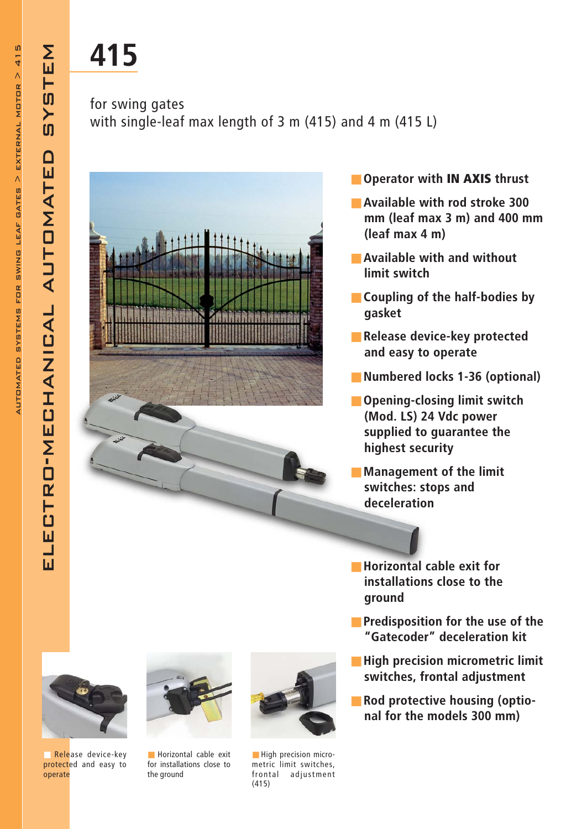electro-mechanical automated system

LECTRO-MECHANICAL

靣

EM

一切

 $\overline{\mathbf{S}}$ 

 $\Omega$ 

AUTOMATE

## 415

## for swing gates with single-leaf max length of 3 m (415) and 4 m (415 L)



- Operator with IN AXIS thrust
- Available with rod stroke 300 mm (leaf max 3 m) and 400 mm (leaf max 4 m)
- Available with and without limit switch
- Coupling of the half-bodies by gasket
- Release device-key protected and easy to operate
- Numbered locks 1-36 (optional)
- Opening-closing limit switch (Mod. LS) 24 Vdc power supplied to guarantee the highest security
- Management of the limit switches: stops and deceleration
- Horizontal cable exit for installations close to the ground
- Predisposition for the use of the "Gatecoder" deceleration kit
- High precision micrometric limit switches, frontal adjustment
- Rod protective housing (optional for the models 300 mm)



■ Release device-key protected and easy to operate



■ Horizontal cable exit for installations close to the ground



**B** High precision micrometric limit switches, frontal adjustment (415)